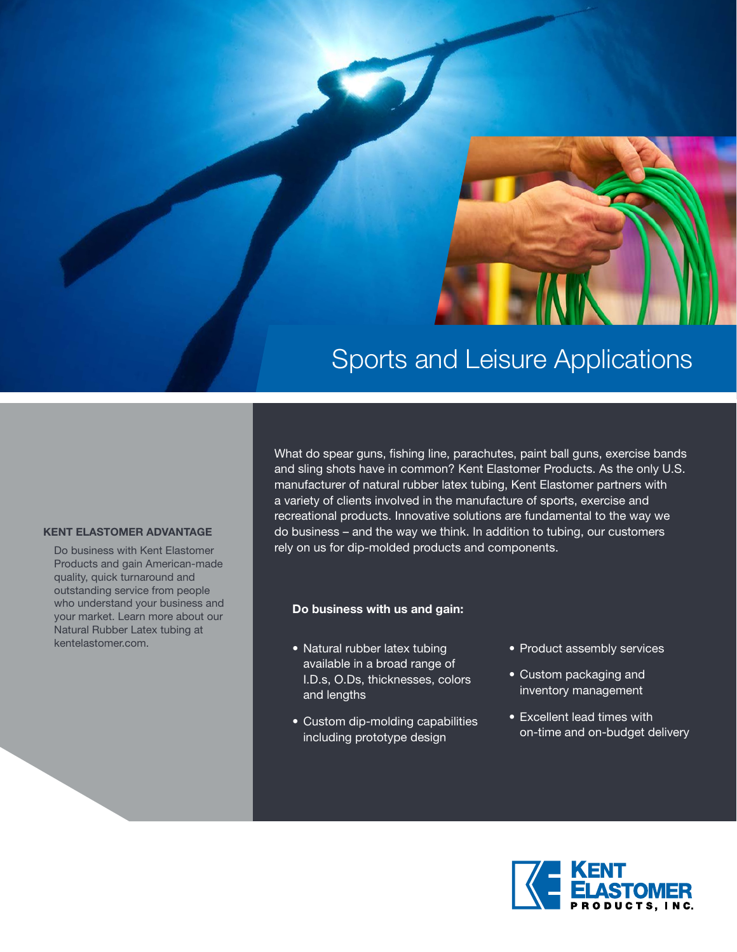

# Sports and Leisure Applications

#### **KENT ELASTOMER ADVANTAGE**

Do business with Kent Elastomer Products and gain American-made quality, quick turnaround and outstanding service from people who understand your business and your market. Learn more about our Natural Rubber Latex tubing at kentelastomer.com.

What do spear guns, fishing line, parachutes, paint ball guns, exercise bands and sling shots have in common? Kent Elastomer Products. As the only U.S. manufacturer of natural rubber latex tubing, Kent Elastomer partners with a variety of clients involved in the manufacture of sports, exercise and recreational products. Innovative solutions are fundamental to the way we do business – and the way we think. In addition to tubing, our customers rely on us for dip-molded products and components.

#### **Do business with us and gain:**

- Natural rubber latex tubing available in a broad range of I.D.s, O.Ds, thicknesses, colors and lengths
- Custom dip-molding capabilities including prototype design
- Product assembly services
- Custom packaging and inventory management
- Excellent lead times with on-time and on-budget delivery